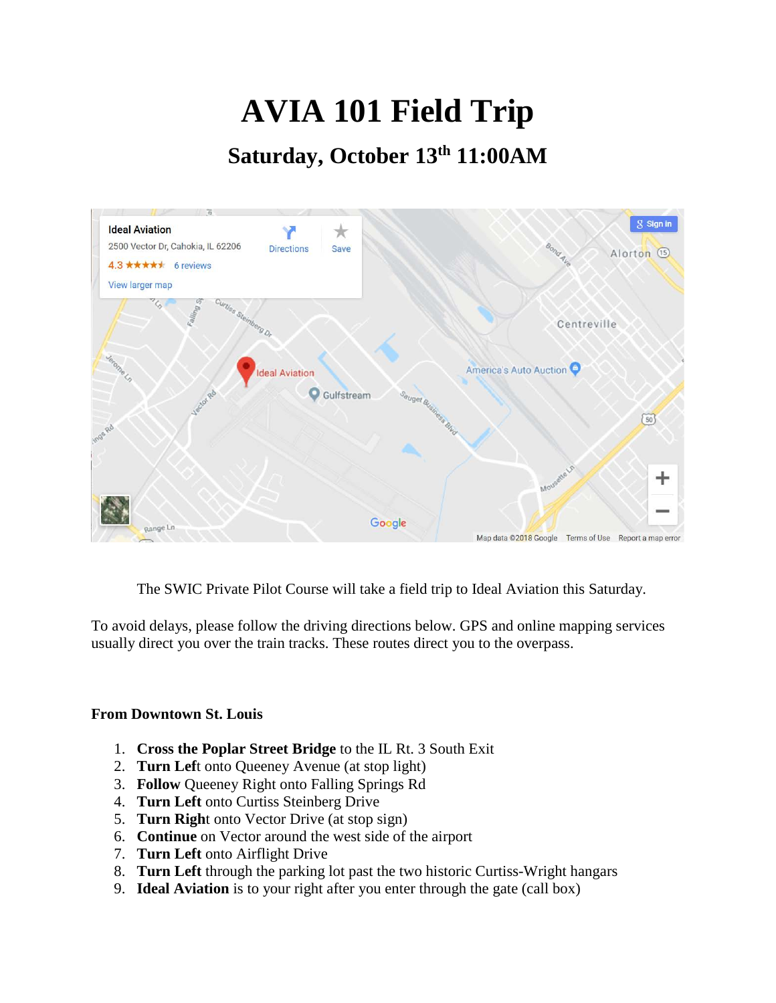## **AVIA 101 Field Trip**

## **Saturday, October 13th 11:00AM**



The SWIC Private Pilot Course will take a field trip to Ideal Aviation this Saturday.

To avoid delays, please follow the driving directions below. GPS and online mapping services usually direct you over the train tracks. These routes direct you to the overpass.

## **From Downtown St. Louis**

- 1. **Cross the Poplar Street Bridge** to the IL Rt. 3 South Exit
- 2. **Turn Lef**t onto Queeney Avenue (at stop light)
- 3. **Follow** Queeney Right onto Falling Springs Rd
- 4. **Turn Left** onto Curtiss Steinberg Drive
- 5. **Turn Righ**t onto Vector Drive (at stop sign)
- 6. **Continue** on Vector around the west side of the airport
- 7. **Turn Left** onto Airflight Drive
- 8. **Turn Left** through the parking lot past the two historic Curtiss-Wright hangars
- 9. **Ideal Aviation** is to your right after you enter through the gate (call box)